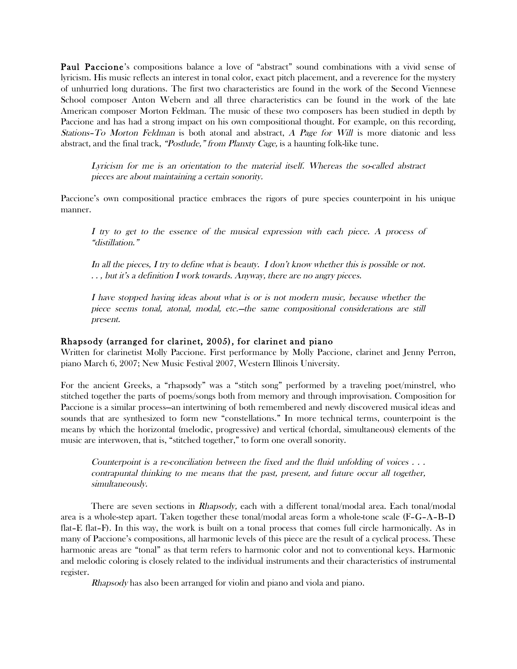Paul Paccione's compositions balance a love of "abstract" sound combinations with a vivid sense of lyricism. His music reflects an interest in tonal color, exact pitch placement, and a reverence for the mystery of unhurried long durations. The first two characteristics are found in the work of the Second Viennese School composer Anton Webern and all three characteristics can be found in the work of the late American composer Morton Feldman. The music of these two composers has been studied in depth by Paccione and has had a strong impact on his own compositional thought. For example, on this recording, Stations–To Morton Feldman is both atonal and abstract, A Page for Will is more diatonic and less abstract, and the final track, "Postlude," from Planxty Cage, is a haunting folk-like tune.

Lyricism for me is an orientation to the material itself. Whereas the so-called abstract pieces are about maintaining a certain sonority.

Paccione's own compositional practice embraces the rigors of pure species counterpoint in his unique manner.

I try to get to the essence of the musical expression with each piece. A process of "distillation."

In all the pieces, I try to define what is beauty. I don't know whether this is possible or not. . . , but it's a definition I work towards. Anyway, there are no angry pieces.

I have stopped having ideas about what is or is not modern music, because whether the piece seems tonal, atonal, modal, etc.—the same compositional considerations are still present.

#### Rhapsody (arranged for clarinet, 2005), for clarinet and piano

Written for clarinetist Molly Paccione. First performance by Molly Paccione, clarinet and Jenny Perron, piano March 6, 2007; New Music Festival 2007, Western Illinois University.

For the ancient Greeks, a "rhapsody" was a "stitch song" performed by a traveling poet/minstrel, who stitched together the parts of poems/songs both from memory and through improvisation. Composition for Paccione is a similar process—an intertwining of both remembered and newly discovered musical ideas and sounds that are synthesized to form new "constellations." In more technical terms, counterpoint is the means by which the horizontal (melodic, progressive) and vertical (chordal, simultaneous) elements of the music are interwoven, that is, "stitched together," to form one overall sonority.

Counterpoint is a re-conciliation between the fixed and the fluid unfolding of voices  $\ldots$ contrapuntal thinking to me means that the past, present, and future occur all together, simultaneously.

There are seven sections in *Rhapsody*, each with a different tonal/modal area. Each tonal/modal area is a whole-step apart. Taken together these tonal/modal areas form a whole-tone scale (F–G–A–B–D flat–E flat–F). In this way, the work is built on a tonal process that comes full circle harmonically. As in many of Paccione's compositions, all harmonic levels of this piece are the result of a cyclical process. These harmonic areas are "tonal" as that term refers to harmonic color and not to conventional keys. Harmonic and melodic coloring is closely related to the individual instruments and their characteristics of instrumental register.

Rhapsody has also been arranged for violin and piano and viola and piano.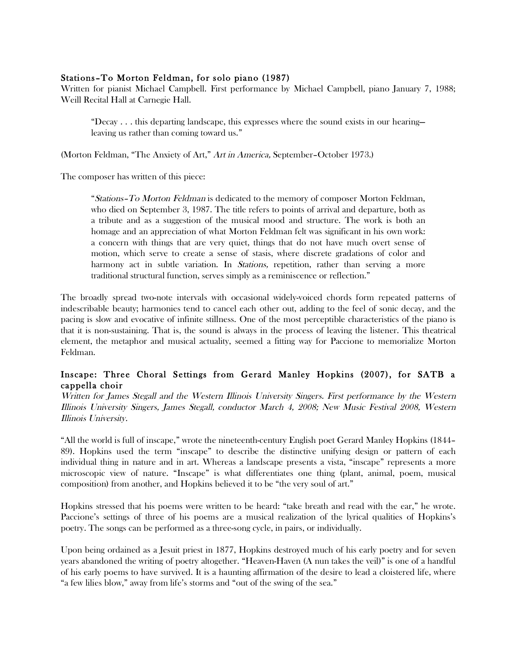## Stations–To Morton Feldman, for solo piano (1987)

Written for pianist Michael Campbell. First performance by Michael Campbell, piano January 7, 1988; Weill Recital Hall at Carnegie Hall.

"Decay . . . this departing landscape, this expresses where the sound exists in our hearing leaving us rather than coming toward us."

(Morton Feldman, "The Anxiety of Art," Art in America, September–October 1973.)

The composer has written of this piece:

"Stations–To Morton Feldman is dedicated to the memory of composer Morton Feldman, who died on September 3, 1987. The title refers to points of arrival and departure, both as a tribute and as a suggestion of the musical mood and structure. The work is both an homage and an appreciation of what Morton Feldman felt was significant in his own work: a concern with things that are very quiet, things that do not have much overt sense of motion, which serve to create a sense of stasis, where discrete gradations of color and harmony act in subtle variation. In *Stations*, repetition, rather than serving a more traditional structural function, serves simply as a reminiscence or reflection."

The broadly spread two-note intervals with occasional widely-voiced chords form repeated patterns of indescribable beauty; harmonies tend to cancel each other out, adding to the feel of sonic decay, and the pacing is slow and evocative of infinite stillness. One of the most perceptible characteristics of the piano is that it is non-sustaining. That is, the sound is always in the process of leaving the listener. This theatrical element, the metaphor and musical actuality, seemed a fitting way for Paccione to memorialize Morton Feldman.

## Inscape: Three Choral Settings from Gerard Manley Hopkins (2007), for SATB a cappella choir

Written for James Stegall and the Western Illinois University Singers. First performance by the Western Illinois University Singers, James Stegall, conductor March 4, 2008; New Music Festival 2008, Western Illinois University.

"All the world is full of inscape," wrote the nineteenth-century English poet Gerard Manley Hopkins (1844– 89). Hopkins used the term "inscape" to describe the distinctive unifying design or pattern of each individual thing in nature and in art. Whereas a landscape presents a vista, "inscape" represents a more microscopic view of nature. "Inscape" is what differentiates one thing (plant, animal, poem, musical composition) from another, and Hopkins believed it to be "the very soul of art."

Hopkins stressed that his poems were written to be heard: "take breath and read with the ear," he wrote. Paccione's settings of three of his poems are a musical realization of the lyrical qualities of Hopkins's poetry. The songs can be performed as a three-song cycle, in pairs, or individually.

Upon being ordained as a Jesuit priest in 1877, Hopkins destroyed much of his early poetry and for seven years abandoned the writing of poetry altogether. "Heaven-Haven (A nun takes the veil)" is one of a handful of his early poems to have survived. It is a haunting affirmation of the desire to lead a cloistered life, where "a few lilies blow," away from life's storms and "out of the swing of the sea."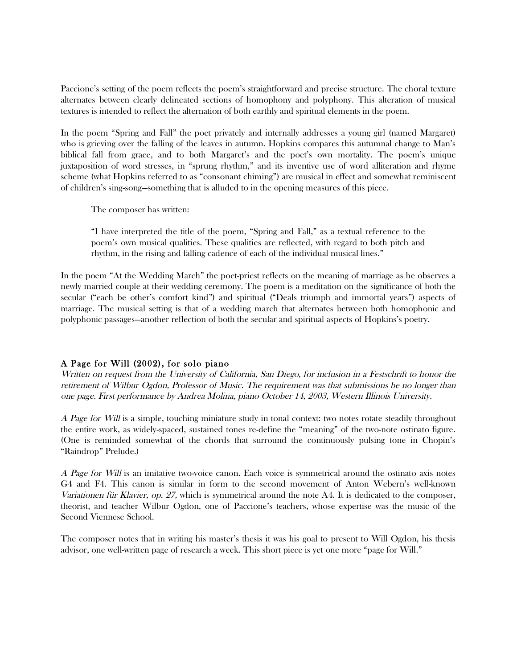Paccione's setting of the poem reflects the poem's straightforward and precise structure. The choral texture alternates between clearly delineated sections of homophony and polyphony. This alteration of musical textures is intended to reflect the alternation of both earthly and spiritual elements in the poem.

In the poem "Spring and Fall" the poet privately and internally addresses a young girl (named Margaret) who is grieving over the falling of the leaves in autumn. Hopkins compares this autumnal change to Man's biblical fall from grace, and to both Margaret's and the poet's own mortality. The poem's unique juxtaposition of word stresses, in "sprung rhythm," and its inventive use of word alliteration and rhyme scheme (what Hopkins referred to as "consonant chiming") are musical in effect and somewhat reminiscent of children's sing-song—something that is alluded to in the opening measures of this piece.

The composer has written:

"I have interpreted the title of the poem, "Spring and Fall," as a textual reference to the poem's own musical qualities. These qualities are reflected, with regard to both pitch and rhythm, in the rising and falling cadence of each of the individual musical lines."

In the poem "At the Wedding March" the poet-priest reflects on the meaning of marriage as he observes a newly married couple at their wedding ceremony. The poem is a meditation on the significance of both the secular ("each be other's comfort kind") and spiritual ("Deals triumph and immortal years") aspects of marriage. The musical setting is that of a wedding march that alternates between both homophonic and polyphonic passages—another reflection of both the secular and spiritual aspects of Hopkins's poetry.

# A Page for Will (2002), for solo piano

Written on request from the University of California, San Diego, for inclusion in a Festschrift to honor the retirement of Wilbur Ogdon, Professor of Music. The requirement was that submissions be no longer than one page. First performance by Andrea Molina, piano October 14, 2003, Western Illinois University.

A Page for Will is a simple, touching miniature study in tonal context: two notes rotate steadily throughout the entire work, as widely-spaced, sustained tones re-define the "meaning" of the two-note ostinato figure. (One is reminded somewhat of the chords that surround the continuously pulsing tone in Chopin's "Raindrop" Prelude.)

A Page for Will is an imitative two-voice canon. Each voice is symmetrical around the ostinato axis notes G4 and F4. This canon is similar in form to the second movement of Anton Webern's well-known Variationen für Klavier, op. 27, which is symmetrical around the note A4. It is dedicated to the composer, theorist, and teacher Wilbur Ogdon, one of Paccione's teachers, whose expertise was the music of the Second Viennese School.

The composer notes that in writing his master's thesis it was his goal to present to Will Ogdon, his thesis advisor, one well-written page of research a week. This short piece is yet one more "page for Will."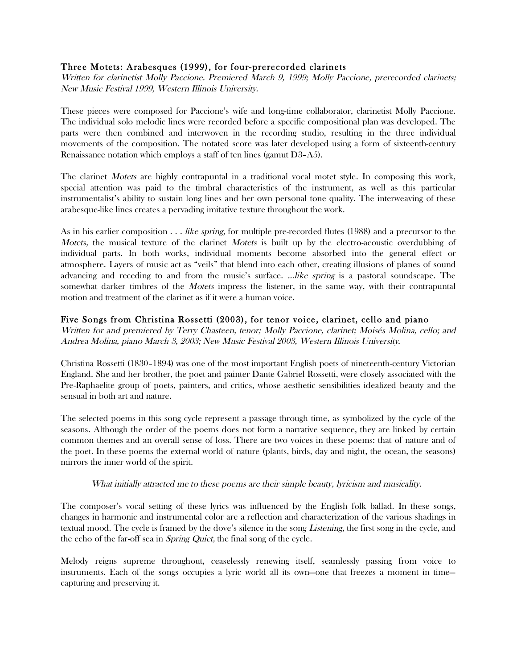## Three Motets: Arabesques (1999), for four-prerecorded clarinets

Written for clarinetist Molly Paccione. Premiered March 9, 1999; Molly Paccione, prerecorded clarinets; New Music Festival 1999, Western Illinois University.

These pieces were composed for Paccione's wife and long-time collaborator, clarinetist Molly Paccione. The individual solo melodic lines were recorded before a specific compositional plan was developed. The parts were then combined and interwoven in the recording studio, resulting in the three individual movements of the composition. The notated score was later developed using a form of sixteenth-century Renaissance notation which employs a staff of ten lines (gamut D3–A5).

The clarinet *Motets* are highly contrapuntal in a traditional vocal motet style. In composing this work, special attention was paid to the timbral characteristics of the instrument, as well as this particular instrumentalist's ability to sustain long lines and her own personal tone quality. The interweaving of these arabesque-like lines creates a pervading imitative texture throughout the work.

As in his earlier composition . . . like spring, for multiple pre-recorded flutes (1988) and a precursor to the Motets, the musical texture of the clarinet Motets is built up by the electro-acoustic overdubbing of individual parts. In both works, individual moments become absorbed into the general effect or atmosphere. Layers of music act as "veils" that blend into each other, creating illusions of planes of sound advancing and receding to and from the music's surface. …like spring is a pastoral soundscape. The somewhat darker timbres of the *Motets* impress the listener, in the same way, with their contrapuntal motion and treatment of the clarinet as if it were a human voice.

## Five Songs from Christina Rossetti (2003), for tenor voice, clarinet, cello and piano

Written for and premiered by Terry Chasteen, tenor; Molly Paccione, clarinet; Moisés Molina, cello; and Andrea Molina, piano March 3, 2003; New Music Festival 2003, Western Illinois University.

Christina Rossetti (1830–1894) was one of the most important English poets of nineteenth-century Victorian England. She and her brother, the poet and painter Dante Gabriel Rossetti, were closely associated with the Pre-Raphaelite group of poets, painters, and critics, whose aesthetic sensibilities idealized beauty and the sensual in both art and nature.

The selected poems in this song cycle represent a passage through time, as symbolized by the cycle of the seasons. Although the order of the poems does not form a narrative sequence, they are linked by certain common themes and an overall sense of loss. There are two voices in these poems: that of nature and of the poet. In these poems the external world of nature (plants, birds, day and night, the ocean, the seasons) mirrors the inner world of the spirit.

## What initially attracted me to these poems are their simple beauty, lyricism and musicality.

The composer's vocal setting of these lyrics was influenced by the English folk ballad. In these songs, changes in harmonic and instrumental color are a reflection and characterization of the various shadings in textual mood. The cycle is framed by the dove's silence in the song Listening, the first song in the cycle, and the echo of the far-off sea in Spring Quiet, the final song of the cycle.

Melody reigns supreme throughout, ceaselessly renewing itself, seamlessly passing from voice to instruments. Each of the songs occupies a lyric world all its own—one that freezes a moment in time capturing and preserving it.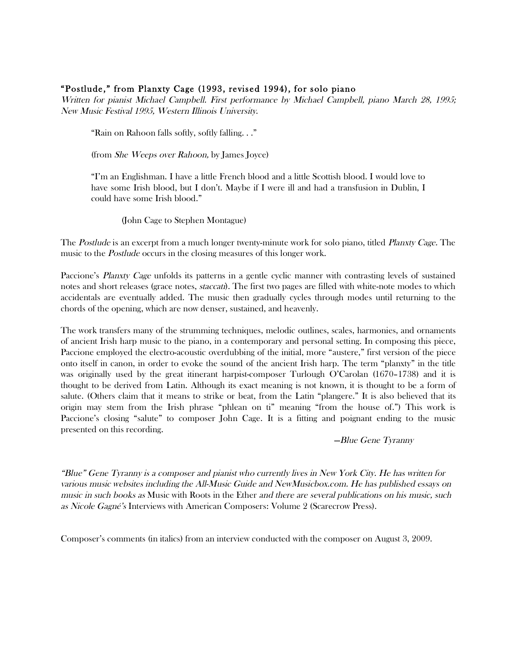## "Postlude," from Planxty Cage (1993, revised 1994), for solo piano

Written for pianist Michael Campbell. First performance by Michael Campbell, piano March 28, 1995; New Music Festival 1995, Western Illinois University.

"Rain on Rahoon falls softly, softly falling. . ."

(from She Weeps over Rahoon, by James Joyce)

"I'm an Englishman. I have a little French blood and a little Scottish blood. I would love to have some Irish blood, but I don't. Maybe if I were ill and had a transfusion in Dublin, I could have some Irish blood."

(John Cage to Stephen Montague)

The Postlude is an excerpt from a much longer twenty-minute work for solo piano, titled Planxty Cage. The music to the *Postlude* occurs in the closing measures of this longer work.

Paccione's Planxty Cage unfolds its patterns in a gentle cyclic manner with contrasting levels of sustained notes and short releases (grace notes, staccati). The first two pages are filled with white-note modes to which accidentals are eventually added. The music then gradually cycles through modes until returning to the chords of the opening, which are now denser, sustained, and heavenly.

The work transfers many of the strumming techniques, melodic outlines, scales, harmonies, and ornaments of ancient Irish harp music to the piano, in a contemporary and personal setting. In composing this piece, Paccione employed the electro-acoustic overdubbing of the initial, more "austere," first version of the piece onto itself in canon, in order to evoke the sound of the ancient Irish harp. The term "planxty" in the title was originally used by the great itinerant harpist-composer Turlough O'Carolan (1670–1738) and it is thought to be derived from Latin. Although its exact meaning is not known, it is thought to be a form of salute. (Others claim that it means to strike or beat, from the Latin "plangere." It is also believed that its origin may stem from the Irish phrase "phlean on ti" meaning "from the house of.") This work is Paccione's closing "salute" to composer John Cage. It is a fitting and poignant ending to the music presented on this recording.

—Blue Gene Tyranny

"Blue" Gene Tyranny is a composer and pianist who currently lives in New York City. He has written for various music websites including the All-Music Guide and NewMusicbox.com. He has published essays on music in such books as Music with Roots in the Ether and there are several publications on his music, such as Nicole Gagné's Interviews with American Composers: Volume 2 (Scarecrow Press).

Composer's comments (in italics) from an interview conducted with the composer on August 3, 2009.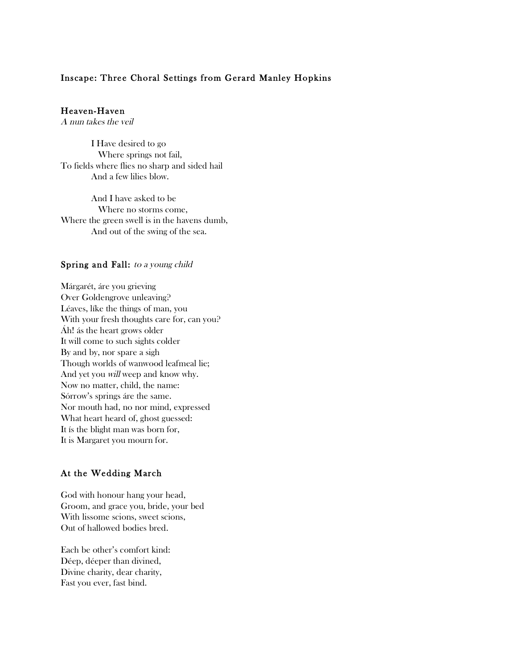### Inscape: Three Choral Settings from Gerard Manley Hopkins

### Heaven-Haven

A nun takes the veil

I Have desired to go Where springs not fail, To fields where flies no sharp and sided hail And a few lilies blow.

And I have asked to be Where no storms come, Where the green swell is in the havens dumb, And out of the swing of the sea.

#### Spring and Fall: to a young child

Márgarét, áre you grieving Over Goldengrove unleaving? Léaves, líke the things of man, you With your fresh thoughts care for, can you? Áh! ás the heart grows older It will come to such sights colder By and by, nor spare a sigh Though worlds of wanwood leafmeal lie; And yet you will weep and know why. Now no matter, child, the name: Sórrow's springs áre the same. Nor mouth had, no nor mind, expressed What heart heard of, ghost guessed: It ís the blight man was born for, It is Margaret you mourn for.

### At the Wedding March

God with honour hang your head, Groom, and grace you, bride, your bed With lissome scions, sweet scions, Out of hallowed bodies bred.

Each be other's comfort kind: Déep, déeper than divined, Divine charity, dear charity, Fast you ever, fast bind.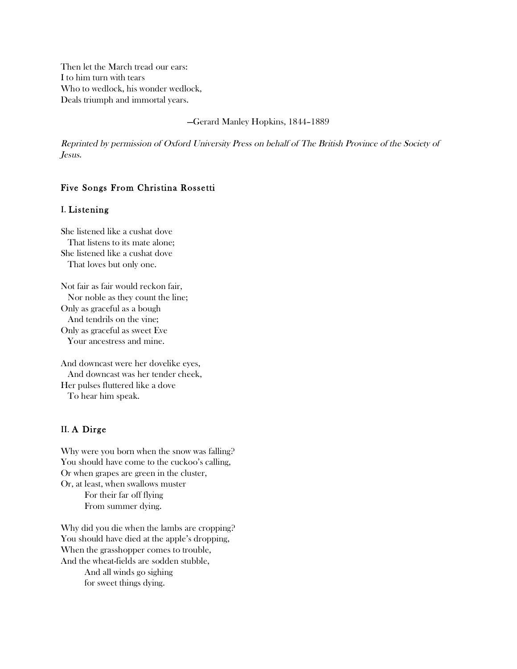Then let the March tread our ears: I to him turn with tears Who to wedlock, his wonder wedlock, Deals triumph and immortal years.

—Gerard Manley Hopkins, 1844–1889

Reprinted by permission of Oxford University Press on behalf of The British Province of the Society of Jesus.

### Five Songs From Christina Rossetti

#### I. Listening

She listened like a cushat dove That listens to its mate alone; She listened like a cushat dove That loves but only one.

Not fair as fair would reckon fair, Nor noble as they count the line; Only as graceful as a bough And tendrils on the vine; Only as graceful as sweet Eve Your ancestress and mine.

And downcast were her dovelike eyes, And downcast was her tender cheek, Her pulses fluttered like a dove To hear him speak.

#### II. A Dirge

Why were you born when the snow was falling? You should have come to the cuckoo's calling, Or when grapes are green in the cluster, Or, at least, when swallows muster For their far off flying From summer dying.

Why did you die when the lambs are cropping? You should have died at the apple's dropping, When the grasshopper comes to trouble, And the wheat-fields are sodden stubble,

And all winds go sighing for sweet things dying.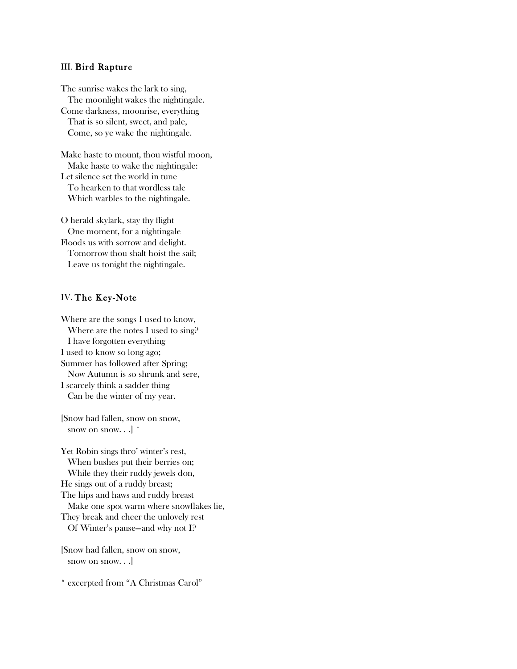#### III. Bird Rapture

The sunrise wakes the lark to sing, The moonlight wakes the nightingale. Come darkness, moonrise, everything That is so silent, sweet, and pale, Come, so ye wake the nightingale.

Make haste to mount, thou wistful moon, Make haste to wake the nightingale: Let silence set the world in tune To hearken to that wordless tale Which warbles to the nightingale.

O herald skylark, stay thy flight One moment, for a nightingale Floods us with sorrow and delight. Tomorrow thou shalt hoist the sail; Leave us tonight the nightingale.

### IV. The Key-Note

Where are the songs I used to know, Where are the notes I used to sing? I have forgotten everything I used to know so long ago; Summer has followed after Spring; Now Autumn is so shrunk and sere, I scarcely think a sadder thing Can be the winter of my year.

[Snow had fallen, snow on snow, snow on snow... $^{\dagger}$ 

Yet Robin sings thro' winter's rest, When bushes put their berries on; While they their ruddy jewels don, He sings out of a ruddy breast; The hips and haws and ruddy breast Make one spot warm where snowflakes lie, They break and cheer the unlovely rest Of Winter's pause—and why not I?

[Snow had fallen, snow on snow, snow on snow. . .]

\* excerpted from "A Christmas Carol"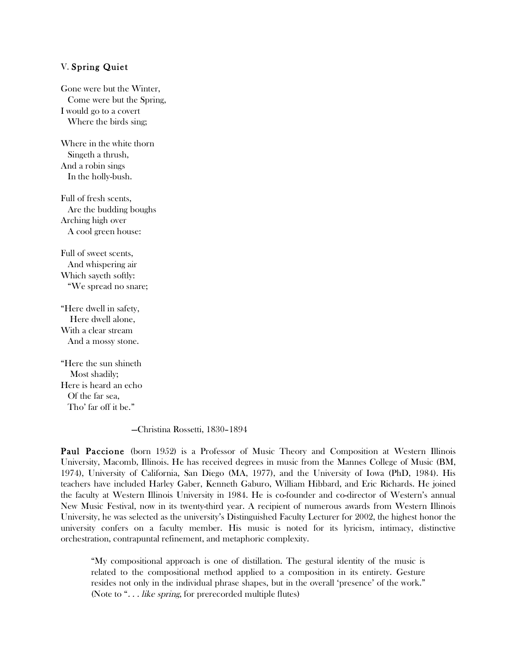### V. Spring Quiet

Gone were but the Winter, Come were but the Spring, I would go to a covert Where the birds sing;

Where in the white thorn Singeth a thrush, And a robin sings In the holly-bush.

Full of fresh scents, Are the budding boughs Arching high over A cool green house:

Full of sweet scents, And whispering air Which sayeth softly: "We spread no snare;

"Here dwell in safety, Here dwell alone, With a clear stream And a mossy stone.

"Here the sun shineth Most shadily; Here is heard an echo Of the far sea, Tho' far off it be."

—Christina Rossetti, 1830–1894

Paul Paccione (born 1952) is a Professor of Music Theory and Composition at Western Illinois University, Macomb, Illinois. He has received degrees in music from the Mannes College of Music (BM, 1974), University of California, San Diego (MA, 1977), and the University of Iowa (PhD, 1984). His teachers have included Harley Gaber, Kenneth Gaburo, William Hibbard, and Eric Richards. He joined the faculty at Western Illinois University in 1984. He is co-founder and co-director of Western's annual New Music Festival, now in its twenty-third year. A recipient of numerous awards from Western Illinois University, he was selected as the university's Distinguished Faculty Lecturer for 2002, the highest honor the university confers on a faculty member. His music is noted for its lyricism, intimacy, distinctive orchestration, contrapuntal refinement, and metaphoric complexity.

"My compositional approach is one of distillation. The gestural identity of the music is related to the compositional method applied to a composition in its entirety. Gesture resides not only in the individual phrase shapes, but in the overall 'presence' of the work." (Note to "... like spring, for prerecorded multiple flutes)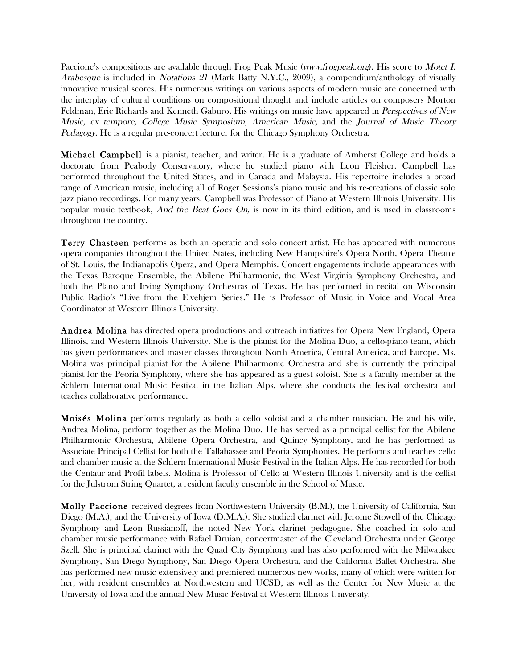Paccione's compositions are available through Frog Peak Music (www.frogpeak.org). His score to Motet I: Arabesque is included in Notations 21 (Mark Batty N.Y.C., 2009), a compendium/anthology of visually innovative musical scores. His numerous writings on various aspects of modern music are concerned with the interplay of cultural conditions on compositional thought and include articles on composers Morton Feldman, Eric Richards and Kenneth Gaburo. His writings on music have appeared in Perspectives of New Music, ex tempore, College Music Symposium, American Music, and the Journal of Music Theory Pedagogy. He is a regular pre-concert lecturer for the Chicago Symphony Orchestra.

Michael Campbell is a pianist, teacher, and writer. He is a graduate of Amherst College and holds a doctorate from Peabody Conservatory, where he studied piano with Leon Fleisher. Campbell has performed throughout the United States, and in Canada and Malaysia. His repertoire includes a broad range of American music, including all of Roger Sessions's piano music and his re-creations of classic solo jazz piano recordings. For many years, Campbell was Professor of Piano at Western Illinois University. His popular music textbook, And the Beat Goes On, is now in its third edition, and is used in classrooms throughout the country.

Terry Chasteen performs as both an operatic and solo concert artist. He has appeared with numerous opera companies throughout the United States, including New Hampshire's Opera North, Opera Theatre of St. Louis, the Indianapolis Opera, and Opera Memphis. Concert engagements include appearances with the Texas Baroque Ensemble, the Abilene Philharmonic, the West Virginia Symphony Orchestra, and both the Plano and Irving Symphony Orchestras of Texas. He has performed in recital on Wisconsin Public Radio's "Live from the Elvehjem Series." He is Professor of Music in Voice and Vocal Area Coordinator at Western Illinois University.

Andrea Molina has directed opera productions and outreach initiatives for Opera New England, Opera Illinois, and Western Illinois University. She is the pianist for the Molina Duo, a cello-piano team, which has given performances and master classes throughout North America, Central America, and Europe. Ms. Molina was principal pianist for the Abilene Philharmonic Orchestra and she is currently the principal pianist for the Peoria Symphony, where she has appeared as a guest soloist. She is a faculty member at the Schlern International Music Festival in the Italian Alps, where she conducts the festival orchestra and teaches collaborative performance.

Moisés Molina performs regularly as both a cello soloist and a chamber musician. He and his wife, Andrea Molina, perform together as the Molina Duo. He has served as a principal cellist for the Abilene Philharmonic Orchestra, Abilene Opera Orchestra, and Quincy Symphony, and he has performed as Associate Principal Cellist for both the Tallahassee and Peoria Symphonies. He performs and teaches cello and chamber music at the Schlern International Music Festival in the Italian Alps. He has recorded for both the Centaur and Profil labels. Molina is Professor of Cello at Western Illinois University and is the cellist for the Julstrom String Quartet, a resident faculty ensemble in the School of Music.

Molly Paccione received degrees from Northwestern University (B.M.), the University of California, San Diego (M.A.), and the University of Iowa (D.M.A.). She studied clarinet with Jerome Stowell of the Chicago Symphony and Leon Russianoff, the noted New York clarinet pedagogue. She coached in solo and chamber music performance with Rafael Druian, concertmaster of the Cleveland Orchestra under George Szell. She is principal clarinet with the Quad City Symphony and has also performed with the Milwaukee Symphony, San Diego Symphony, San Diego Opera Orchestra, and the California Ballet Orchestra. She has performed new music extensively and premiered numerous new works, many of which were written for her, with resident ensembles at Northwestern and UCSD, as well as the Center for New Music at the University of Iowa and the annual New Music Festival at Western Illinois University.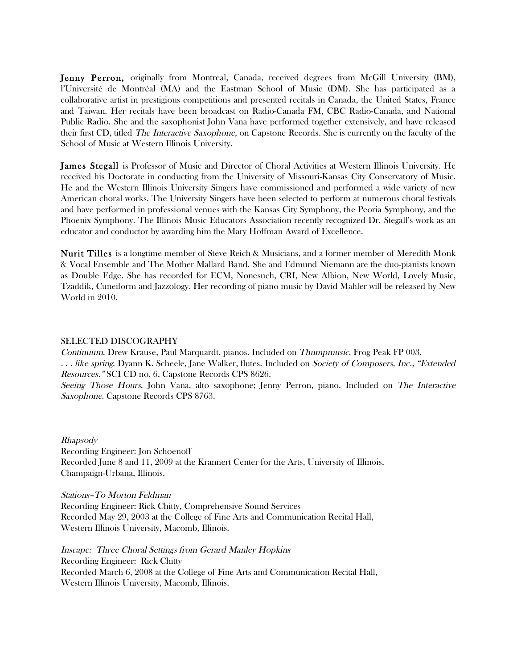Jenny Perron, originally from Montreal, Canada, received degrees from McGill University (BM), l'Université de Montréal (MA) and the Eastman School of Music (DM). She has participated as a collaborative artist in prestigious competitions and presented recitals in Canada, the United States, France and Taiwan. Her recitals have been broadcast on Radio-Canada FM, CBC Radio-Canada, and National Public Radio. She and the saxophonist John Vana have performed together extensively, and have released their first CD, titled The Interactive Saxophone, on Capstone Records. She is currently on the faculty of the School of Music at Western Illinois University.

James Stegall is Professor of Music and Director of Choral Activities at Western Illinois University. He received his Doctorate in conducting from the University of Missouri-Kansas City Conservatory of Music. He and the Western Illinois University Singers have commissioned and performed a wide variety of new American choral works. The University Singers have been selected to perform at numerous choral festivals and have performed in professional venues with the Kansas City Symphony, the Peoria Symphony, and the Phoenix Symphony. The Illinois Music Educators Association recently recognized Dr. Stegall's work as an educator and conductor by awarding him the Mary Hoffman Award of Excellence.

Nurit Tilles is a longtime member of Steve Reich & Musicians, and a former member of Meredith Monk & Vocal Ensemble and The Mother Mallard Band. She and Edmund Niemann are the duo-pianists known as Double Edge. She has recorded for ECM, Nonesuch, CRI, New Albion, New World, Lovely Music, Tzaddik, Cuneiform and Jazzology. Her recording of piano music by David Mahler will be released by New World in 2010.

#### SELECTED DISCOGRAPHY

Continuum. Drew Krause, Paul Marquardt, pianos. Included on Thumpmusic. Frog Peak FP 003. . . . like spring. Dyann K. Scheele, Jane Walker, flutes. Included on Society of Composers, Inc., "Extended Resources." SCI CD no. 6, Capstone Records CPS 8626. Seeing Those Hours. John Vana, alto saxophone; Jenny Perron, piano. Included on The Interactive

Saxophone. Capstone Records CPS 8763.

Rhapsody Recording Engineer: Jon Schoenoff Recorded June 8 and 11, 2009 at the Krannert Center for the Arts, University of Illinois, Champaign-Urbana, Illinois.

Stations–To Morton Feldman

Recording Engineer: Rick Chitty, Comprehensive Sound Services Recorded May 29, 2003 at the College of Fine Arts and Communication Recital Hall, Western Illinois University, Macomb, Illinois.

Inscape: Three Choral Settings from Gerard Manley Hopkins Recording Engineer: Rick Chitty Recorded March 6, 2008 at the College of Fine Arts and Communication Recital Hall, Western Illinois University, Macomb, Illinois.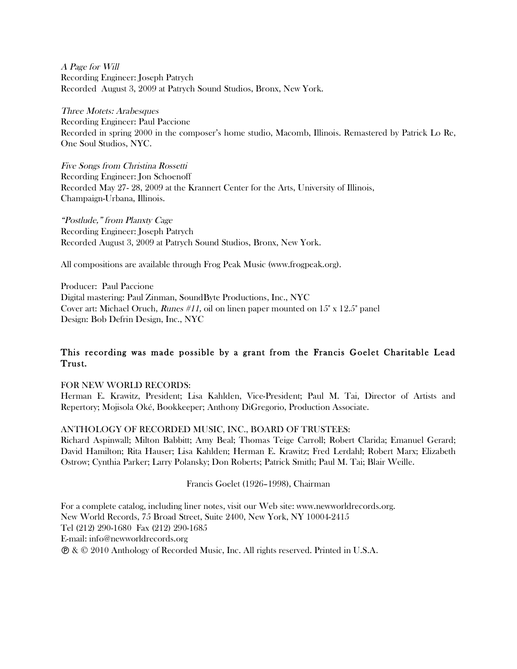A Page for Will Recording Engineer: Joseph Patrych Recorded August 3, 2009 at Patrych Sound Studios, Bronx, New York.

Three Motets: Arabesques Recording Engineer: Paul Paccione Recorded in spring 2000 in the composer's home studio, Macomb, Illinois. Remastered by Patrick Lo Re, One Soul Studios, NYC.

Five Songs from Christina Rossetti Recording Engineer: Jon Schoenoff Recorded May 27- 28, 2009 at the Krannert Center for the Arts, University of Illinois, Champaign-Urbana, Illinois.

"Postlude," from Planxty Cage Recording Engineer: Joseph Patrych Recorded August 3, 2009 at Patrych Sound Studios, Bronx, New York.

All compositions are available through Frog Peak Music (www.frogpeak.org).

Producer: Paul Paccione Digital mastering: Paul Zinman, SoundByte Productions, Inc., NYC Cover art: Michael Oruch, Runes #11, oil on linen paper mounted on 15" x 12.5" panel Design: Bob Defrin Design, Inc., NYC

# This recording was made possible by a grant from the Francis Goelet Charitable Lead Trust.

FOR NEW WORLD RECORDS:

Herman E. Krawitz, President; Lisa Kahlden, Vice-President; Paul M. Tai, Director of Artists and Repertory; Mojisola Oké, Bookkeeper; Anthony DiGregorio, Production Associate.

## ANTHOLOGY OF RECORDED MUSIC, INC., BOARD OF TRUSTEES:

Richard Aspinwall; Milton Babbitt; Amy Beal; Thomas Teige Carroll; Robert Clarida; Emanuel Gerard; David Hamilton; Rita Hauser; Lisa Kahlden; Herman E. Krawitz; Fred Lerdahl; Robert Marx; Elizabeth Ostrow; Cynthia Parker; Larry Polansky; Don Roberts; Patrick Smith; Paul M. Tai; Blair Weille.

#### Francis Goelet (1926–1998), Chairman

For a complete catalog, including liner notes, visit our Web site: www.newworldrecords.org. New World Records, 75 Broad Street, Suite 2400, New York, NY 10004-2415 Tel (212) 290-1680 Fax (212) 290-1685 E-mail: info@newworldrecords.org & © 2010 Anthology of Recorded Music, Inc. All rights reserved. Printed in U.S.A.